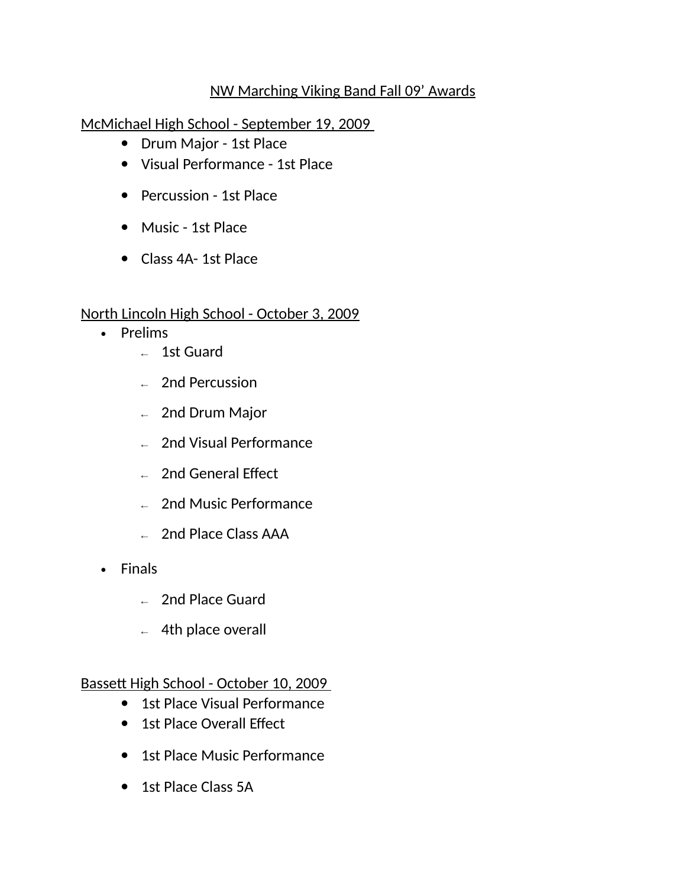## NW Marching Viking Band Fall 09' Awards

McMichael High School - September 19, 2009

- Drum Major 1st Place
- Visual Performance 1st Place
- Percussion 1st Place
- Music 1st Place
- Class 4A- 1st Place

## North Lincoln High School - October 3, 2009

- Prelims
	- ← 1st Guard
	- ← 2nd Percussion
	- $\leftarrow$  2nd Drum Major
	- $\leftarrow$  2nd Visual Performance
	- $\leftarrow$  2nd General Effect
	- $\leftarrow$  2nd Music Performance
	- ← 2nd Place Class AAA
- Finals
	- $\leftarrow$  2nd Place Guard
	- $\leftarrow$  4th place overall

Bassett High School - October 10, 2009

- 1st Place Visual Performance
- 1st Place Overall Effect
- 1st Place Music Performance
- 1st Place Class 5A